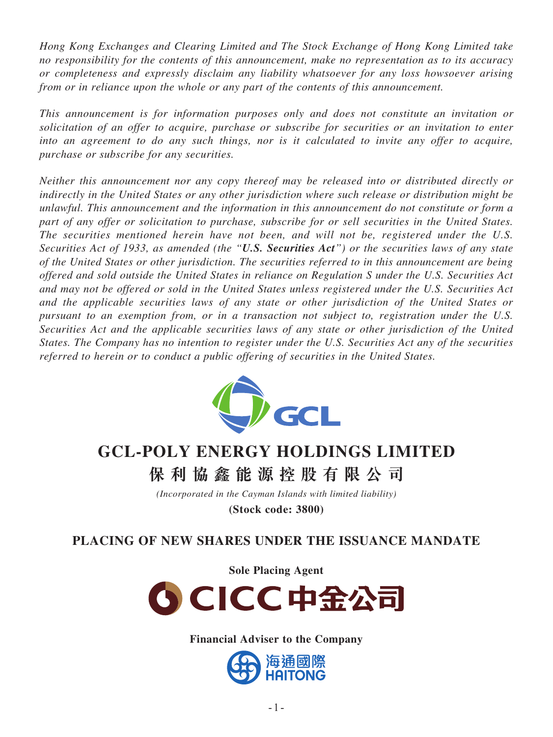*Hong Kong Exchanges and Clearing Limited and The Stock Exchange of Hong Kong Limited take no responsibility for the contents of this announcement, make no representation as to its accuracy or completeness and expressly disclaim any liability whatsoever for any loss howsoever arising from or in reliance upon the whole or any part of the contents of this announcement.*

*This announcement is for information purposes only and does not constitute an invitation or solicitation of an offer to acquire, purchase or subscribe for securities or an invitation to enter into an agreement to do any such things, nor is it calculated to invite any offer to acquire, purchase or subscribe for any securities.*

*Neither this announcement nor any copy thereof may be released into or distributed directly or indirectly in the United States or any other jurisdiction where such release or distribution might be unlawful. This announcement and the information in this announcement do not constitute or form a part of any offer or solicitation to purchase, subscribe for or sell securities in the United States. The securities mentioned herein have not been, and will not be, registered under the U.S. Securities Act of 1933, as amended (the "U.S. Securities Act") or the securities laws of any state of the United States or other jurisdiction. The securities referred to in this announcement are being offered and sold outside the United States in reliance on Regulation S under the U.S. Securities Act and may not be offered or sold in the United States unless registered under the U.S. Securities Act and the applicable securities laws of any state or other jurisdiction of the United States or pursuant to an exemption from, or in a transaction not subject to, registration under the U.S. Securities Act and the applicable securities laws of any state or other jurisdiction of the United States. The Company has no intention to register under the U.S. Securities Act any of the securities referred to herein or to conduct a public offering of securities in the United States.*



# **GCL-POLY ENERGY HOLDINGS LIMITED**

**保利協鑫能源控股有限公 司**

*(Incorporated in the Cayman Islands with limited liability)*

**(Stock code: 3800)**

# **PLACING OF NEW SHARES UNDER THE ISSUANCE MANDATE**

**Sole Placing Agent**



**Financial Adviser to the Company**

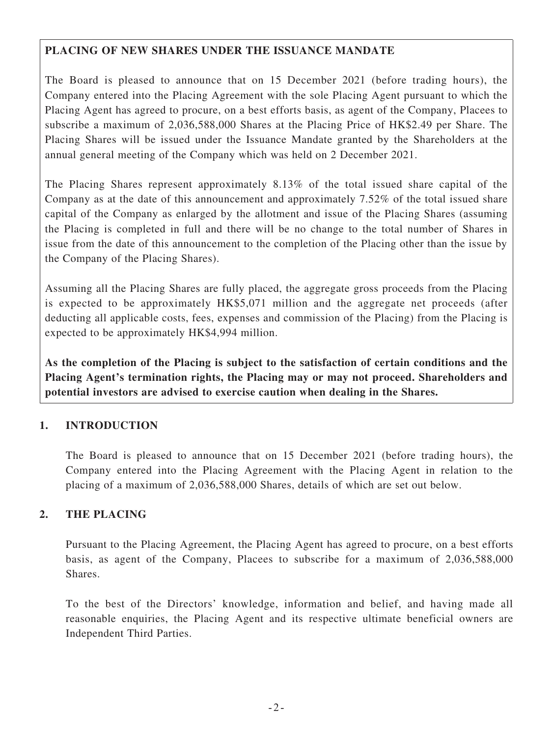## **PLACING OF NEW SHARES UNDER THE ISSUANCE MANDATE**

The Board is pleased to announce that on 15 December 2021 (before trading hours), the Company entered into the Placing Agreement with the sole Placing Agent pursuant to which the Placing Agent has agreed to procure, on a best efforts basis, as agent of the Company, Placees to subscribe a maximum of 2,036,588,000 Shares at the Placing Price of HK\$2.49 per Share. The Placing Shares will be issued under the Issuance Mandate granted by the Shareholders at the annual general meeting of the Company which was held on 2 December 2021.

The Placing Shares represent approximately 8.13% of the total issued share capital of the Company as at the date of this announcement and approximately 7.52% of the total issued share capital of the Company as enlarged by the allotment and issue of the Placing Shares (assuming the Placing is completed in full and there will be no change to the total number of Shares in issue from the date of this announcement to the completion of the Placing other than the issue by the Company of the Placing Shares).

Assuming all the Placing Shares are fully placed, the aggregate gross proceeds from the Placing is expected to be approximately HK\$5,071 million and the aggregate net proceeds (after deducting all applicable costs, fees, expenses and commission of the Placing) from the Placing is expected to be approximately HK\$4,994 million.

**As the completion of the Placing is subject to the satisfaction of certain conditions and the Placing Agent's termination rights, the Placing may or may not proceed. Shareholders and potential investors are advised to exercise caution when dealing in the Shares.**

## **1. INTRODUCTION**

The Board is pleased to announce that on 15 December 2021 (before trading hours), the Company entered into the Placing Agreement with the Placing Agent in relation to the placing of a maximum of 2,036,588,000 Shares, details of which are set out below.

#### **2. THE PLACING**

Pursuant to the Placing Agreement, the Placing Agent has agreed to procure, on a best efforts basis, as agent of the Company, Placees to subscribe for a maximum of 2,036,588,000 Shares.

To the best of the Directors' knowledge, information and belief, and having made all reasonable enquiries, the Placing Agent and its respective ultimate beneficial owners are Independent Third Parties.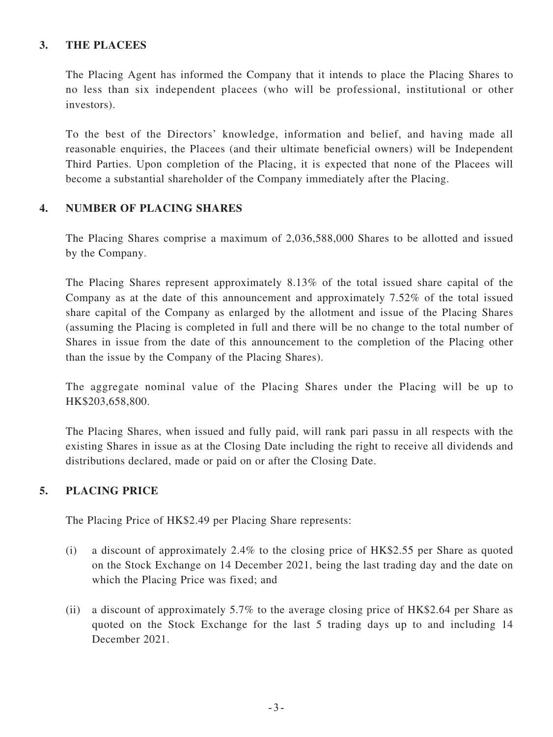#### **3. THE PLACEES**

The Placing Agent has informed the Company that it intends to place the Placing Shares to no less than six independent placees (who will be professional, institutional or other investors).

To the best of the Directors' knowledge, information and belief, and having made all reasonable enquiries, the Placees (and their ultimate beneficial owners) will be Independent Third Parties. Upon completion of the Placing, it is expected that none of the Placees will become a substantial shareholder of the Company immediately after the Placing.

#### **4. NUMBER OF PLACING SHARES**

The Placing Shares comprise a maximum of 2,036,588,000 Shares to be allotted and issued by the Company.

The Placing Shares represent approximately 8.13% of the total issued share capital of the Company as at the date of this announcement and approximately 7.52% of the total issued share capital of the Company as enlarged by the allotment and issue of the Placing Shares (assuming the Placing is completed in full and there will be no change to the total number of Shares in issue from the date of this announcement to the completion of the Placing other than the issue by the Company of the Placing Shares).

The aggregate nominal value of the Placing Shares under the Placing will be up to HK\$203,658,800.

The Placing Shares, when issued and fully paid, will rank pari passu in all respects with the existing Shares in issue as at the Closing Date including the right to receive all dividends and distributions declared, made or paid on or after the Closing Date.

#### **5. PLACING PRICE**

The Placing Price of HK\$2.49 per Placing Share represents:

- (i) a discount of approximately 2.4% to the closing price of HK\$2.55 per Share as quoted on the Stock Exchange on 14 December 2021, being the last trading day and the date on which the Placing Price was fixed; and
- (ii) a discount of approximately 5.7% to the average closing price of HK\$2.64 per Share as quoted on the Stock Exchange for the last 5 trading days up to and including 14 December 2021.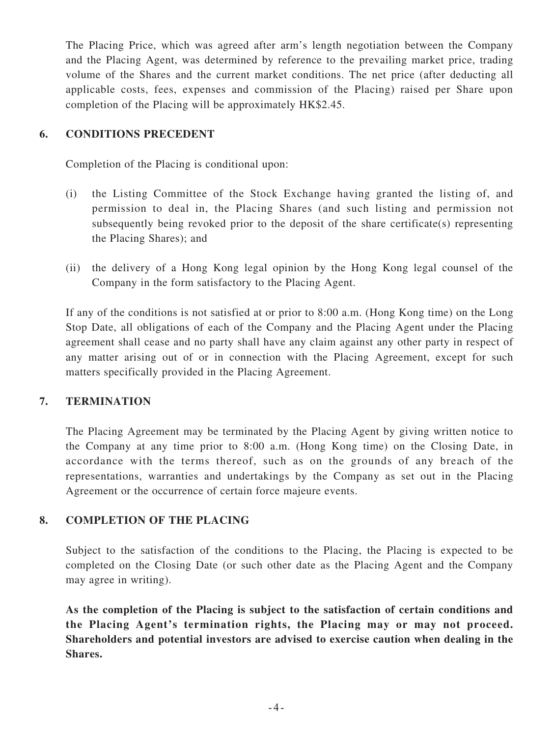The Placing Price, which was agreed after arm's length negotiation between the Company and the Placing Agent, was determined by reference to the prevailing market price, trading volume of the Shares and the current market conditions. The net price (after deducting all applicable costs, fees, expenses and commission of the Placing) raised per Share upon completion of the Placing will be approximately HK\$2.45.

### **6. CONDITIONS PRECEDENT**

Completion of the Placing is conditional upon:

- (i) the Listing Committee of the Stock Exchange having granted the listing of, and permission to deal in, the Placing Shares (and such listing and permission not subsequently being revoked prior to the deposit of the share certificate(s) representing the Placing Shares); and
- (ii) the delivery of a Hong Kong legal opinion by the Hong Kong legal counsel of the Company in the form satisfactory to the Placing Agent.

If any of the conditions is not satisfied at or prior to 8:00 a.m. (Hong Kong time) on the Long Stop Date, all obligations of each of the Company and the Placing Agent under the Placing agreement shall cease and no party shall have any claim against any other party in respect of any matter arising out of or in connection with the Placing Agreement, except for such matters specifically provided in the Placing Agreement.

#### **7. TERMINATION**

The Placing Agreement may be terminated by the Placing Agent by giving written notice to the Company at any time prior to 8:00 a.m. (Hong Kong time) on the Closing Date, in accordance with the terms thereof, such as on the grounds of any breach of the representations, warranties and undertakings by the Company as set out in the Placing Agreement or the occurrence of certain force majeure events.

#### **8. COMPLETION OF THE PLACING**

Subject to the satisfaction of the conditions to the Placing, the Placing is expected to be completed on the Closing Date (or such other date as the Placing Agent and the Company may agree in writing).

**As the completion of the Placing is subject to the satisfaction of certain conditions and the Placing Agent's termination rights, the Placing may or may not proceed. Shareholders and potential investors are advised to exercise caution when dealing in the Shares.**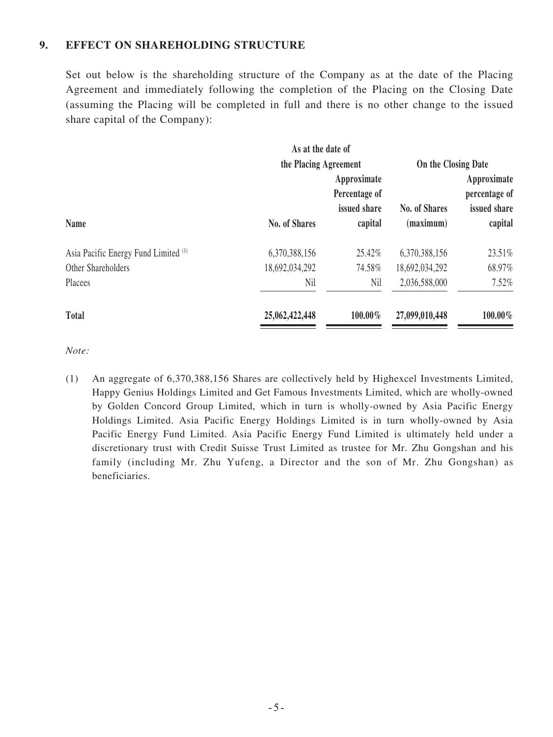#### **9. EFFECT ON SHAREHOLDING STRUCTURE**

Set out below is the shareholding structure of the Company as at the date of the Placing Agreement and immediately following the completion of the Placing on the Closing Date (assuming the Placing will be completed in full and there is no other change to the issued share capital of the Company):

|                                                 | As at the date of<br>the Placing Agreement |                                                         |                                   |                                                         |
|-------------------------------------------------|--------------------------------------------|---------------------------------------------------------|-----------------------------------|---------------------------------------------------------|
|                                                 |                                            |                                                         | On the Closing Date               |                                                         |
| <b>Name</b>                                     | <b>No. of Shares</b>                       | Approximate<br>Percentage of<br>issued share<br>capital | <b>No. of Shares</b><br>(maximum) | Approximate<br>percentage of<br>issued share<br>capital |
| Asia Pacific Energy Fund Limited <sup>(1)</sup> | 6,370,388,156                              | 25.42%                                                  | 6,370,388,156                     | 23.51%                                                  |
| Other Shareholders                              | 18,692,034,292                             | 74.58%                                                  | 18,692,034,292                    | 68.97%                                                  |
| Placees                                         | Nil                                        | Nil                                                     | 2,036,588,000                     | 7.52%                                                   |
| <b>Total</b>                                    | 25,062,422,448                             | 100.00%                                                 | 27,099,010,448                    | $100.00\%$                                              |

*Note:*

(1) An aggregate of 6,370,388,156 Shares are collectively held by Highexcel Investments Limited, Happy Genius Holdings Limited and Get Famous Investments Limited, which are wholly-owned by Golden Concord Group Limited, which in turn is wholly-owned by Asia Pacific Energy Holdings Limited. Asia Pacific Energy Holdings Limited is in turn wholly-owned by Asia Pacific Energy Fund Limited. Asia Pacific Energy Fund Limited is ultimately held under a discretionary trust with Credit Suisse Trust Limited as trustee for Mr. Zhu Gongshan and his family (including Mr. Zhu Yufeng, a Director and the son of Mr. Zhu Gongshan) as beneficiaries.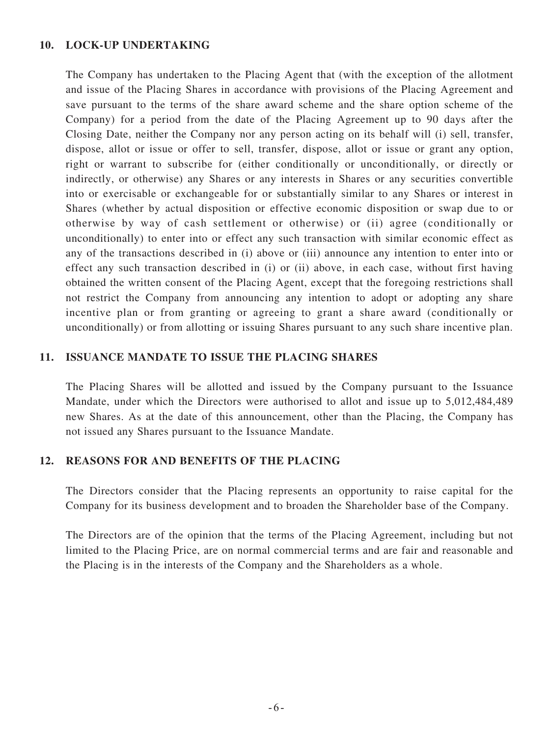#### **10. LOCK-UP UNDERTAKING**

The Company has undertaken to the Placing Agent that (with the exception of the allotment and issue of the Placing Shares in accordance with provisions of the Placing Agreement and save pursuant to the terms of the share award scheme and the share option scheme of the Company) for a period from the date of the Placing Agreement up to 90 days after the Closing Date, neither the Company nor any person acting on its behalf will (i) sell, transfer, dispose, allot or issue or offer to sell, transfer, dispose, allot or issue or grant any option, right or warrant to subscribe for (either conditionally or unconditionally, or directly or indirectly, or otherwise) any Shares or any interests in Shares or any securities convertible into or exercisable or exchangeable for or substantially similar to any Shares or interest in Shares (whether by actual disposition or effective economic disposition or swap due to or otherwise by way of cash settlement or otherwise) or (ii) agree (conditionally or unconditionally) to enter into or effect any such transaction with similar economic effect as any of the transactions described in (i) above or (iii) announce any intention to enter into or effect any such transaction described in (i) or (ii) above, in each case, without first having obtained the written consent of the Placing Agent, except that the foregoing restrictions shall not restrict the Company from announcing any intention to adopt or adopting any share incentive plan or from granting or agreeing to grant a share award (conditionally or unconditionally) or from allotting or issuing Shares pursuant to any such share incentive plan.

#### **11. ISSUANCE MANDATE TO ISSUE THE PLACING SHARES**

The Placing Shares will be allotted and issued by the Company pursuant to the Issuance Mandate, under which the Directors were authorised to allot and issue up to 5,012,484,489 new Shares. As at the date of this announcement, other than the Placing, the Company has not issued any Shares pursuant to the Issuance Mandate.

#### **12. REASONS FOR AND BENEFITS OF THE PLACING**

The Directors consider that the Placing represents an opportunity to raise capital for the Company for its business development and to broaden the Shareholder base of the Company.

The Directors are of the opinion that the terms of the Placing Agreement, including but not limited to the Placing Price, are on normal commercial terms and are fair and reasonable and the Placing is in the interests of the Company and the Shareholders as a whole.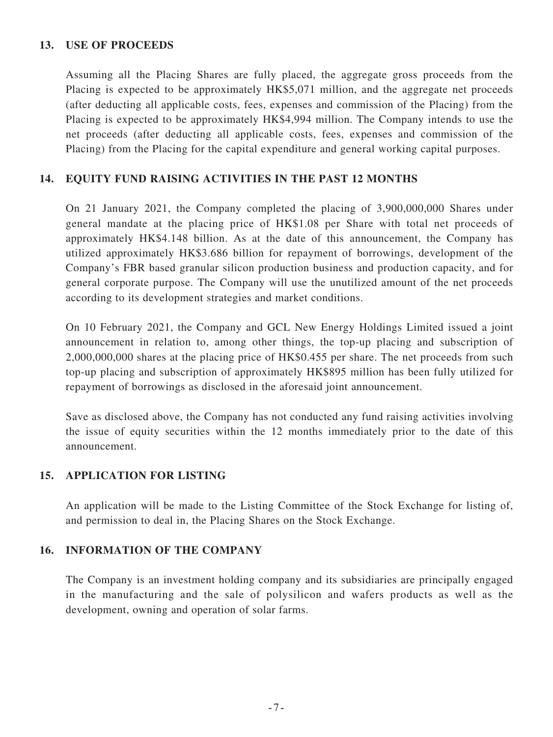#### **13. USE OF PROCEEDS**

Assuming all the Placing Shares are fully placed, the aggregate gross proceeds from the Placing is expected to be approximately HK\$5,071 million, and the aggregate net proceeds (after deducting all applicable costs, fees, expenses and commission of the Placing) from the Placing is expected to be approximately HK\$4,994 million. The Company intends to use the net proceeds (after deducting all applicable costs, fees, expenses and commission of the Placing) from the Placing for the capital expenditure and general working capital purposes.

#### **14. EQUITY FUND RAISING ACTIVITIES IN THE PAST 12 MONTHS**

On 21 January 2021, the Company completed the placing of 3,900,000,000 Shares under general mandate at the placing price of HK\$1.08 per Share with total net proceeds of approximately HK\$4.148 billion. As at the date of this announcement, the Company has utilized approximately HK\$3.686 billion for repayment of borrowings, development of the Company's FBR based granular silicon production business and production capacity, and for general corporate purpose. The Company will use the unutilized amount of the net proceeds according to its development strategies and market conditions.

On 10 February 2021, the Company and GCL New Energy Holdings Limited issued a joint announcement in relation to, among other things, the top-up placing and subscription of 2,000,000,000 shares at the placing price of HK\$0.455 per share. The net proceeds from such top-up placing and subscription of approximately HK\$895 million has been fully utilized for repayment of borrowings as disclosed in the aforesaid joint announcement.

Save as disclosed above, the Company has not conducted any fund raising activities involving the issue of equity securities within the 12 months immediately prior to the date of this announcement.

#### **15. APPLICATION FOR LISTING**

An application will be made to the Listing Committee of the Stock Exchange for listing of, and permission to deal in, the Placing Shares on the Stock Exchange.

#### **16. INFORMATION OF THE COMPANY**

The Company is an investment holding company and its subsidiaries are principally engaged in the manufacturing and the sale of polysilicon and wafers products as well as the development, owning and operation of solar farms.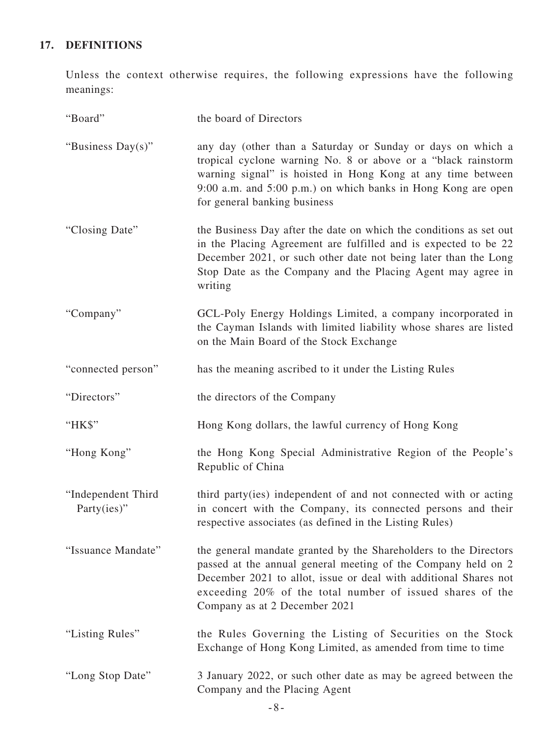# **17. DEFINITIONS**

Unless the context otherwise requires, the following expressions have the following meanings:

| "Board"                           | the board of Directors                                                                                                                                                                                                                                                                              |
|-----------------------------------|-----------------------------------------------------------------------------------------------------------------------------------------------------------------------------------------------------------------------------------------------------------------------------------------------------|
| "Business Day(s)"                 | any day (other than a Saturday or Sunday or days on which a<br>tropical cyclone warning No. 8 or above or a "black rainstorm"<br>warning signal" is hoisted in Hong Kong at any time between<br>9:00 a.m. and 5:00 p.m.) on which banks in Hong Kong are open<br>for general banking business       |
| "Closing Date"                    | the Business Day after the date on which the conditions as set out<br>in the Placing Agreement are fulfilled and is expected to be 22<br>December 2021, or such other date not being later than the Long<br>Stop Date as the Company and the Placing Agent may agree in<br>writing                  |
| "Company"                         | GCL-Poly Energy Holdings Limited, a company incorporated in<br>the Cayman Islands with limited liability whose shares are listed<br>on the Main Board of the Stock Exchange                                                                                                                         |
| "connected person"                | has the meaning ascribed to it under the Listing Rules                                                                                                                                                                                                                                              |
| "Directors"                       | the directors of the Company                                                                                                                                                                                                                                                                        |
| "HK\$"                            | Hong Kong dollars, the lawful currency of Hong Kong                                                                                                                                                                                                                                                 |
| "Hong Kong"                       | the Hong Kong Special Administrative Region of the People's<br>Republic of China                                                                                                                                                                                                                    |
| "Independent Third<br>Party(ies)" | third party(ies) independent of and not connected with or acting<br>in concert with the Company, its connected persons and their<br>respective associates (as defined in the Listing Rules)                                                                                                         |
| "Issuance Mandate"                | the general mandate granted by the Shareholders to the Directors<br>passed at the annual general meeting of the Company held on 2<br>December 2021 to allot, issue or deal with additional Shares not<br>exceeding 20% of the total number of issued shares of the<br>Company as at 2 December 2021 |
| "Listing Rules"                   | the Rules Governing the Listing of Securities on the Stock<br>Exchange of Hong Kong Limited, as amended from time to time                                                                                                                                                                           |
| "Long Stop Date"                  | 3 January 2022, or such other date as may be agreed between the<br>Company and the Placing Agent                                                                                                                                                                                                    |